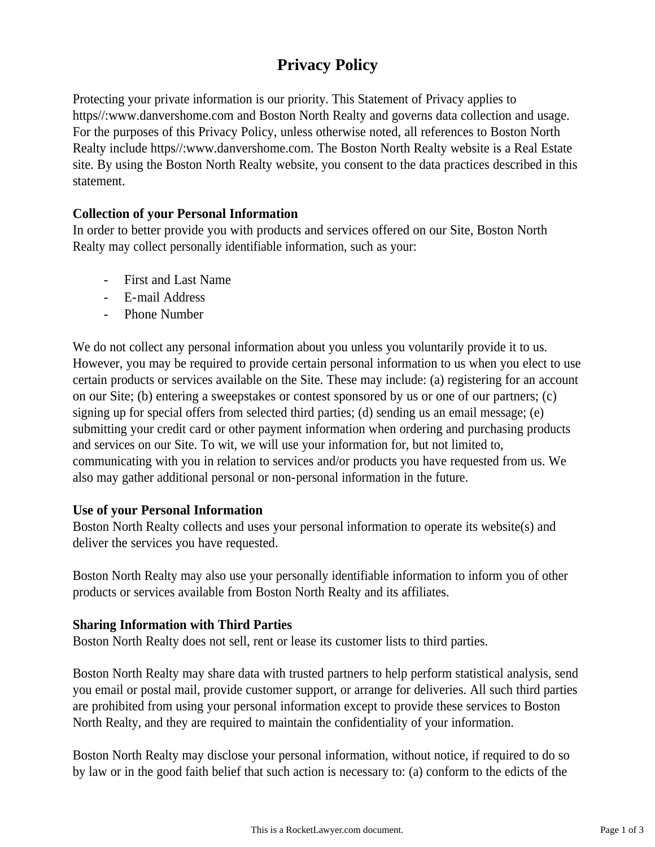# **Privacy Policy**

Protecting your private information is our priority. This Statement of Privacy applies to https//:www.danvershome.com and Boston North Realty and governs data collection and usage. For the purposes of this Privacy Policy, unless otherwise noted, all references to Boston North Realty include https//:www.danvershome.com. The Boston North Realty website is a Real Estate site. By using the Boston North Realty website, you consent to the data practices described in this statement.

# **Collection of your Personal Information**

In order to better provide you with products and services offered on our Site, Boston North Realty may collect personally identifiable information, such as your:

- First and Last Name
- E-mail Address
- Phone Number

We do not collect any personal information about you unless you voluntarily provide it to us. However, you may be required to provide certain personal information to us when you elect to use certain products or services available on the Site. These may include: (a) registering for an account on our Site; (b) entering a sweepstakes or contest sponsored by us or one of our partners; (c) signing up for special offers from selected third parties; (d) sending us an email message; (e) submitting your credit card or other payment information when ordering and purchasing products and services on our Site. To wit, we will use your information for, but not limited to, communicating with you in relation to services and/or products you have requested from us. We also may gather additional personal or non-personal information in the future.

#### **Use of your Personal Information**

Boston North Realty collects and uses your personal information to operate its website(s) and deliver the services you have requested.

Boston North Realty may also use your personally identifiable information to inform you of other products or services available from Boston North Realty and its affiliates.

#### **Sharing Information with Third Parties**

Boston North Realty does not sell, rent or lease its customer lists to third parties.

Boston North Realty may share data with trusted partners to help perform statistical analysis, send you email or postal mail, provide customer support, or arrange for deliveries. All such third parties are prohibited from using your personal information except to provide these services to Boston North Realty, and they are required to maintain the confidentiality of your information.

Boston North Realty may disclose your personal information, without notice, if required to do so by law or in the good faith belief that such action is necessary to: (a) conform to the edicts of the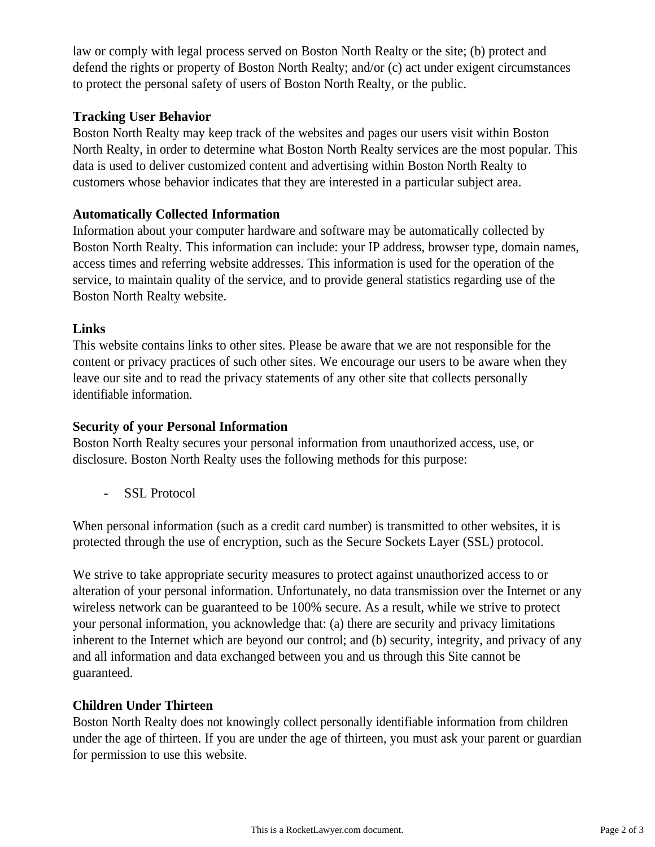law or comply with legal process served on Boston North Realty or the site; (b) protect and defend the rights or property of Boston North Realty; and/or (c) act under exigent circumstances to protect the personal safety of users of Boston North Realty, or the public.

# **Tracking User Behavior**

Boston North Realty may keep track of the websites and pages our users visit within Boston North Realty, in order to determine what Boston North Realty services are the most popular. This data is used to deliver customized content and advertising within Boston North Realty to customers whose behavior indicates that they are interested in a particular subject area.

# **Automatically Collected Information**

Information about your computer hardware and software may be automatically collected by Boston North Realty. This information can include: your IP address, browser type, domain names, access times and referring website addresses. This information is used for the operation of the service, to maintain quality of the service, and to provide general statistics regarding use of the Boston North Realty website.

# **Links**

This website contains links to other sites. Please be aware that we are not responsible for the content or privacy practices of such other sites. We encourage our users to be aware when they leave our site and to read the privacy statements of any other site that collects personally identifiable information.

# **Security of your Personal Information**

Boston North Realty secures your personal information from unauthorized access, use, or disclosure. Boston North Realty uses the following methods for this purpose:

- SSL Protocol

When personal information (such as a credit card number) is transmitted to other websites, it is protected through the use of encryption, such as the Secure Sockets Layer (SSL) protocol.

We strive to take appropriate security measures to protect against unauthorized access to or alteration of your personal information. Unfortunately, no data transmission over the Internet or any wireless network can be guaranteed to be 100% secure. As a result, while we strive to protect your personal information, you acknowledge that: (a) there are security and privacy limitations inherent to the Internet which are beyond our control; and (b) security, integrity, and privacy of any and all information and data exchanged between you and us through this Site cannot be guaranteed.

# **Children Under Thirteen**

Boston North Realty does not knowingly collect personally identifiable information from children under the age of thirteen. If you are under the age of thirteen, you must ask your parent or guardian for permission to use this website.